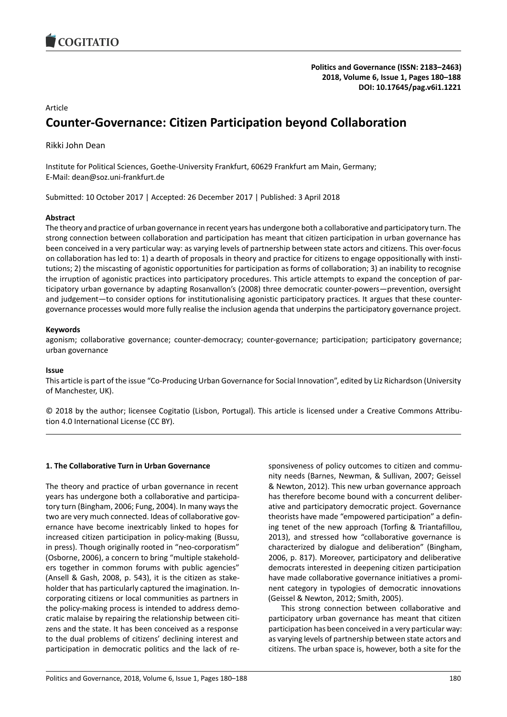

# Article

# **Counter-Governance: Citizen Participation beyond Collaboration**

Rikki John Dean

Institute for Political Sciences, Goethe-University Frankfurt, 60629 Frankfurt am Main, Germany; E-Mail: dean@soz.uni-frankfurt.de

Submitted: 10 October 2017 | Accepted: 26 December 2017 | Published: 3 April 2018

# **Abstract**

The theory and practice of urban governance in recent years has undergone both a collaborative and participatory turn. The strong connection between collaboration and participation has meant that citizen participation in urban governance has been conceived in a very particular way: as varying levels of partnership between state actors and citizens. This over-focus on collaboration has led to: 1) a dearth of proposals in theory and practice for citizens to engage oppositionally with institutions; 2) the miscasting of agonistic opportunities for participation as forms of collaboration; 3) an inability to recognise the irruption of agonistic practices into participatory procedures. This article attempts to expand the conception of participatory urban governance by adapting Rosanvallon's (2008) three democratic counter-powers—prevention, oversight and judgement—to consider options for institutionalising agonistic participatory practices. It argues that these countergovernance processes would more fully realise the inclusion agenda that underpins the participatory governance project.

# **Keywords**

agonism; collaborative governance; counter-democracy; counter-governance; participation; participatory governance; urban governance

#### **Issue**

This article is part of the issue "Co-Producing Urban Governance for Social Innovation", edited by Liz Richardson (University of Manchester, UK).

© 2018 by the author; licensee Cogitatio (Lisbon, Portugal). This article is licensed under a Creative Commons Attribution 4.0 International License (CC BY).

#### **1. The Collaborative Turn in Urban Governance**

The theory and practice of urban governance in recent years has undergone both a collaborative and participatory turn (Bingham, 2006; Fung, 2004). In many ways the two are very much connected. Ideas of collaborative governance have become inextricably linked to hopes for increased citizen participation in policy-making (Bussu, in press). Though originally rooted in "neo-corporatism" (Osborne, 2006), a concern to bring "multiple stakeholders together in common forums with public agencies" (Ansell & Gash, 2008, p. 543), it is the citizen as stakeholder that has particularly captured the imagination. Incorporating citizens or local communities as partners in the policy-making process is intended to address democratic malaise by repairing the relationship between citizens and the state. It has been conceived as a response to the dual problems of citizens' declining interest and participation in democratic politics and the lack of responsiveness of policy outcomes to citizen and community needs (Barnes, Newman, & Sullivan, 2007; Geissel & Newton, 2012). This new urban governance approach has therefore become bound with a concurrent deliberative and participatory democratic project. Governance theorists have made "empowered participation" a defining tenet of the new approach (Torfing & Triantafillou, 2013), and stressed how "collaborative governance is characterized by dialogue and deliberation" (Bingham, 2006, p. 817). Moreover, participatory and deliberative democrats interested in deepening citizen participation have made collaborative governance initiatives a prominent category in typologies of democratic innovations (Geissel & Newton, 2012; Smith, 2005).

This strong connection between collaborative and participatory urban governance has meant that citizen participation has been conceived in a very particular way: as varying levels of partnership between state actors and citizens. The urban space is, however, both a site for the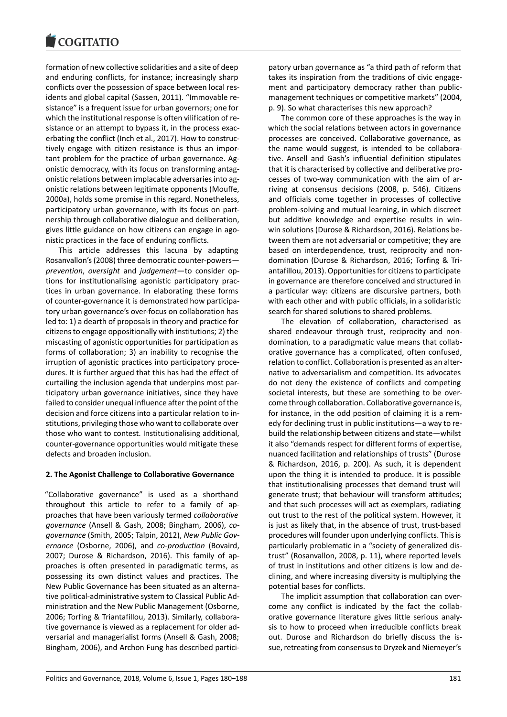formation of new collective solidarities and a site of deep and enduring conflicts, for instance; increasingly sharp conflicts over the possession of space between local residents and global capital (Sassen, 2011). "Immovable resistance" is a frequent issue for urban governors; one for which the institutional response is often vilification of resistance or an attempt to bypass it, in the process exacerbating the conflict (Inch et al., 2017). How to constructively engage with citizen resistance is thus an important problem for the practice of urban governance. Agonistic democracy, with its focus on transforming antagonistic relations between implacable adversaries into agonistic relations between legitimate opponents (Mouffe, 2000a), holds some promise in this regard. Nonetheless, participatory urban governance, with its focus on partnership through collaborative dialogue and deliberation, gives little guidance on how citizens can engage in agonistic practices in the face of enduring conflicts.

This article addresses this lacuna by adapting Rosanvallon's (2008) three democratic counter-powers *prevention*, *oversight* and *judgement*—to consider options for institutionalising agonistic participatory practices in urban governance. In elaborating these forms of counter-governance it is demonstrated how participatory urban governance's over-focus on collaboration has led to: 1) a dearth of proposals in theory and practice for citizens to engage oppositionally with institutions; 2) the miscasting of agonistic opportunities for participation as forms of collaboration; 3) an inability to recognise the irruption of agonistic practices into participatory procedures. It is further argued that this has had the effect of curtailing the inclusion agenda that underpins most participatory urban governance initiatives, since they have failed to consider unequal influence after the point of the decision and force citizens into a particular relation to institutions, privileging those who want to collaborate over those who want to contest. Institutionalising additional, counter-governance opportunities would mitigate these defects and broaden inclusion.

#### **2. The Agonist Challenge to Collaborative Governance**

"Collaborative governance" is used as a shorthand throughout this article to refer to a family of approaches that have been variously termed *collaborative governance* (Ansell & Gash, 2008; Bingham, 2006), *cogovernance* (Smith, 2005; Talpin, 2012), *New Public Governance* (Osborne, 2006), and *co-production* (Bovaird, 2007; Durose & Richardson, 2016). This family of approaches is often presented in paradigmatic terms, as possessing its own distinct values and practices. The New Public Governance has been situated as an alternative political-administrative system to Classical Public Administration and the New Public Management (Osborne, 2006; Torfing & Triantafillou, 2013). Similarly, collaborative governance is viewed as a replacement for older adversarial and managerialist forms (Ansell & Gash, 2008; Bingham, 2006), and Archon Fung has described partici-

patory urban governance as "a third path of reform that takes its inspiration from the traditions of civic engagement and participatory democracy rather than publicmanagement techniques or competitive markets" (2004, p. 9). So what characterises this new approach?

The common core of these approaches is the way in which the social relations between actors in governance processes are conceived. Collaborative governance, as the name would suggest, is intended to be collaborative. Ansell and Gash's influential definition stipulates that it is characterised by collective and deliberative processes of two-way communication with the aim of arriving at consensus decisions (2008, p. 546). Citizens and officials come together in processes of collective problem-solving and mutual learning, in which discreet but additive knowledge and expertise results in winwin solutions (Durose & Richardson, 2016). Relations between them are not adversarial or competitive; they are based on interdependence, trust, reciprocity and nondomination (Durose & Richardson, 2016; Torfing & Triantafillou, 2013). Opportunities for citizens to participate in governance are therefore conceived and structured in a particular way: citizens are discursive partners, both with each other and with public officials, in a solidaristic search for shared solutions to shared problems.

The elevation of collaboration, characterised as shared endeavour through trust, reciprocity and nondomination, to a paradigmatic value means that collaborative governance has a complicated, often confused, relation to conflict. Collaboration is presented as an alternative to adversarialism and competition. Its advocates do not deny the existence of conflicts and competing societal interests, but these are something to be overcome through collaboration. Collaborative governance is, for instance, in the odd position of claiming it is a remedy for declining trust in public institutions—a way to rebuild the relationship between citizens and state—whilst it also "demands respect for different forms of expertise, nuanced facilitation and relationships of trusts" (Durose & Richardson, 2016, p. 200). As such, it is dependent upon the thing it is intended to produce. It is possible that institutionalising processes that demand trust will generate trust; that behaviour will transform attitudes; and that such processes will act as exemplars, radiating out trust to the rest of the political system. However, it is just as likely that, in the absence of trust, trust-based procedures will founder upon underlying conflicts. This is particularly problematic in a "society of generalized distrust" (Rosanvallon, 2008, p. 11), where reported levels of trust in institutions and other citizens is low and declining, and where increasing diversity is multiplying the potential bases for conflicts.

The implicit assumption that collaboration can overcome any conflict is indicated by the fact the collaborative governance literature gives little serious analysis to how to proceed when irreducible conflicts break out. Durose and Richardson do briefly discuss the issue, retreating from consensus to Dryzek and Niemeyer's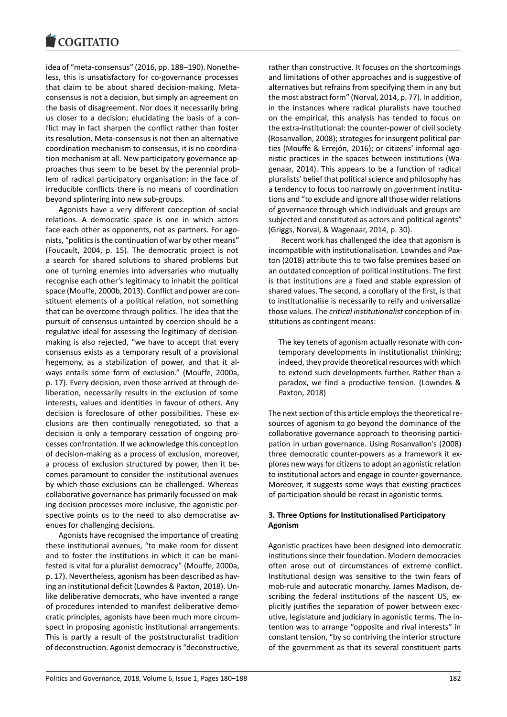#### COQUIATIO

idea of "meta-consensus" (2016, pp. 188–190). Nonetheless, this is unsatisfactory for co-governance processes that claim to be about shared decision-making. Metaconsensus is not a decision, but simply an agreement on the basis of disagreement. Nor does it necessarily bring us closer to a decision; elucidating the basis of a conflict may in fact sharpen the conflict rather than foster its resolution. Meta-consensus is not then an alternative coordination mechanism to consensus, it is no coordination mechanism at all. New participatory governance approaches thus seem to be beset by the perennial problem of radical participatory organisation: in the face of irreducible conflicts there is no means of coordination beyond splintering into new sub-groups.

Agonists have a very different conception of social relations. A democratic space is one in which actors face each other as opponents, not as partners. For agonists, "politics is the continuation of war by other means" (Foucault, 2004, p. 15). The democratic project is not a search for shared solutions to shared problems but one of turning enemies into adversaries who mutually recognise each other's legitimacy to inhabit the political space (Mouffe, 2000b, 2013). Conflict and power are constituent elements of a political relation, not something that can be overcome through politics. The idea that the pursuit of consensus untainted by coercion should be a regulative ideal for assessing the legitimacy of decisionmaking is also rejected, "we have to accept that every consensus exists as a temporary result of a provisional hegemony, as a stabilization of power, and that it always entails some form of exclusion." (Mouffe, 2000a, p. 17). Every decision, even those arrived at through deliberation, necessarily results in the exclusion of some interests, values and identities in favour of others. Any decision is foreclosure of other possibilities. These exclusions are then continually renegotiated, so that a decision is only a temporary cessation of ongoing processes confrontation. If we acknowledge this conception of decision-making as a process of exclusion, moreover, a process of exclusion structured by power, then it becomes paramount to consider the institutional avenues by which those exclusions can be challenged. Whereas collaborative governance has primarily focussed on making decision processes more inclusive, the agonistic perspective points us to the need to also democratise avenues for challenging decisions.

Agonists have recognised the importance of creating these institutional avenues, "to make room for dissent and to foster the institutions in which it can be manifested is vital for a pluralist democracy" (Mouffe, 2000a, p. 17). Nevertheless, agonism has been described as having an institutional deficit (Lowndes & Paxton, 2018). Unlike deliberative democrats, who have invented a range of procedures intended to manifest deliberative democratic principles, agonists have been much more circumspect in proposing agonistic institutional arrangements. This is partly a result of the poststructuralist tradition of deconstruction. Agonist democracy is "deconstructive,

rather than constructive. It focuses on the shortcomings and limitations of other approaches and is suggestive of alternatives but refrains from specifying them in any but the most abstract form" (Norval, 2014, p. 77). In addition, in the instances where radical pluralists have touched on the empirical, this analysis has tended to focus on the extra-institutional: the counter-power of civil society (Rosanvallon, 2008); strategies for insurgent political parties (Mouffe & Errejón, 2016); or citizens' informal agonistic practices in the spaces between institutions (Wagenaar, 2014). This appears to be a function of radical pluralists' belief that political science and philosophy has a tendency to focus too narrowly on government institutions and "to exclude and ignore all those wider relations of governance through which individuals and groups are subjected and constituted as actors and political agents" (Griggs, Norval, & Wagenaar, 2014, p. 30).

Recent work has challenged the idea that agonism is incompatible with institutionalisation. Lowndes and Paxton (2018) attribute this to two false premises based on an outdated conception of political institutions. The first is that institutions are a fixed and stable expression of shared values. The second, a corollary of the first, is that to institutionalise is necessarily to reify and universalize those values. The *critical institutionalist* conception of institutions as contingent means:

The key tenets of agonism actually resonate with contemporary developments in institutionalist thinking; indeed, they provide theoretical resources with which to extend such developments further. Rather than a paradox, we find a productive tension. (Lowndes & Paxton, 2018)

The next section of this article employs the theoretical resources of agonism to go beyond the dominance of the collaborative governance approach to theorising participation in urban governance. Using Rosanvallon's (2008) three democratic counter-powers as a framework it explores new ways for citizens to adopt an agonistic relation to institutional actors and engage in counter-governance. Moreover, it suggests some ways that existing practices of participation should be recast in agonistic terms.

# **3. Three Options for Institutionalised Participatory Agonism**

Agonistic practices have been designed into democratic institutions since their foundation. Modern democracies often arose out of circumstances of extreme conflict. Institutional design was sensitive to the twin fears of mob-rule and autocratic monarchy. James Madison, describing the federal institutions of the nascent US, explicitly justifies the separation of power between executive, legislature and judiciary in agonistic terms. The intention was to arrange "opposite and rival interests" in constant tension, "by so contriving the interior structure of the government as that its several constituent parts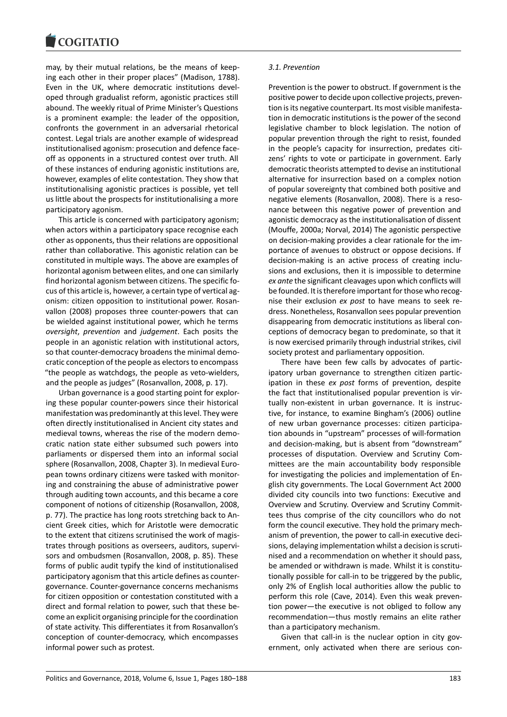#### COMITATIO

may, by their mutual relations, be the means of keeping each other in their proper places" (Madison, 1788). Even in the UK, where democratic institutions developed through gradualist reform, agonistic practices still abound. The weekly ritual of Prime Minister's Questions is a prominent example: the leader of the opposition, confronts the government in an adversarial rhetorical contest. Legal trials are another example of widespread institutionalised agonism: prosecution and defence faceoff as opponents in a structured contest over truth. All of these instances of enduring agonistic institutions are, however, examples of elite contestation. They show that institutionalising agonistic practices is possible, yet tell us little about the prospects for institutionalising a more participatory agonism.

This article is concerned with participatory agonism; when actors within a participatory space recognise each other as opponents, thus their relations are oppositional rather than collaborative. This agonistic relation can be constituted in multiple ways. The above are examples of horizontal agonism between elites, and one can similarly find horizontal agonism between citizens. The specific focus of this article is, however, a certain type of vertical agonism: citizen opposition to institutional power. Rosanvallon (2008) proposes three counter-powers that can be wielded against institutional power, which he terms *oversight*, *prevention* and *judgement*. Each posits the people in an agonistic relation with institutional actors, so that counter-democracy broadens the minimal democratic conception of the people as electors to encompass "the people as watchdogs, the people as veto-wielders, and the people as judges" (Rosanvallon, 2008, p. 17).

Urban governance is a good starting point for exploring these popular counter-powers since their historical manifestation was predominantly at this level. They were often directly institutionalised in Ancient city states and medieval towns, whereas the rise of the modern democratic nation state either subsumed such powers into parliaments or dispersed them into an informal social sphere (Rosanvallon, 2008, Chapter 3). In medieval European towns ordinary citizens were tasked with monitoring and constraining the abuse of administrative power through auditing town accounts, and this became a core component of notions of citizenship (Rosanvallon, 2008, p. 77). The practice has long roots stretching back to Ancient Greek cities, which for Aristotle were democratic to the extent that citizens scrutinised the work of magistrates through positions as overseers, auditors, supervisors and ombudsmen (Rosanvallon, 2008, p. 85). These forms of public audit typify the kind of institutionalised participatory agonism that this article defines as countergovernance. Counter-governance concerns mechanisms for citizen opposition or contestation constituted with a direct and formal relation to power, such that these become an explicit organising principle for the coordination of state activity. This differentiates it from Rosanvallon's conception of counter-democracy, which encompasses informal power such as protest.

#### *3.1. Prevention*

Prevention is the power to obstruct. If government is the positive power to decide upon collective projects, prevention is its negative counterpart. Its most visible manifestation in democratic institutions is the power of the second legislative chamber to block legislation. The notion of popular prevention through the right to resist, founded in the people's capacity for insurrection, predates citizens' rights to vote or participate in government. Early democratic theorists attempted to devise an institutional alternative for insurrection based on a complex notion of popular sovereignty that combined both positive and negative elements (Rosanvallon, 2008). There is a resonance between this negative power of prevention and agonistic democracy as the institutionalisation of dissent (Mouffe, 2000a; Norval, 2014) The agonistic perspective on decision-making provides a clear rationale for the importance of avenues to obstruct or oppose decisions. If decision-making is an active process of creating inclusions and exclusions, then it is impossible to determine *ex ante* the significant cleavages upon which conflicts will be founded. It is therefore important for those who recognise their exclusion *ex post* to have means to seek redress. Nonetheless, Rosanvallon sees popular prevention disappearing from democratic institutions as liberal conceptions of democracy began to predominate, so that it is now exercised primarily through industrial strikes, civil society protest and parliamentary opposition.

There have been few calls by advocates of participatory urban governance to strengthen citizen participation in these *ex post* forms of prevention, despite the fact that institutionalised popular prevention is virtually non-existent in urban governance. It is instructive, for instance, to examine Bingham's (2006) outline of new urban governance processes: citizen participation abounds in "upstream" processes of will-formation and decision-making, but is absent from "downstream" processes of disputation. Overview and Scrutiny Committees are the main accountability body responsible for investigating the policies and implementation of English city governments. The Local Government Act 2000 divided city councils into two functions: Executive and Overview and Scrutiny. Overview and Scrutiny Committees thus comprise of the city councillors who do not form the council executive. They hold the primary mechanism of prevention, the power to call-in executive decisions, delaying implementation whilst a decision is scrutinised and a recommendation on whether it should pass, be amended or withdrawn is made. Whilst it is constitutionally possible for call-in to be triggered by the public, only 2% of English local authorities allow the public to perform this role (Cave, 2014). Even this weak prevention power—the executive is not obliged to follow any recommendation—thus mostly remains an elite rather than a participatory mechanism.

Given that call-in is the nuclear option in city government, only activated when there are serious con-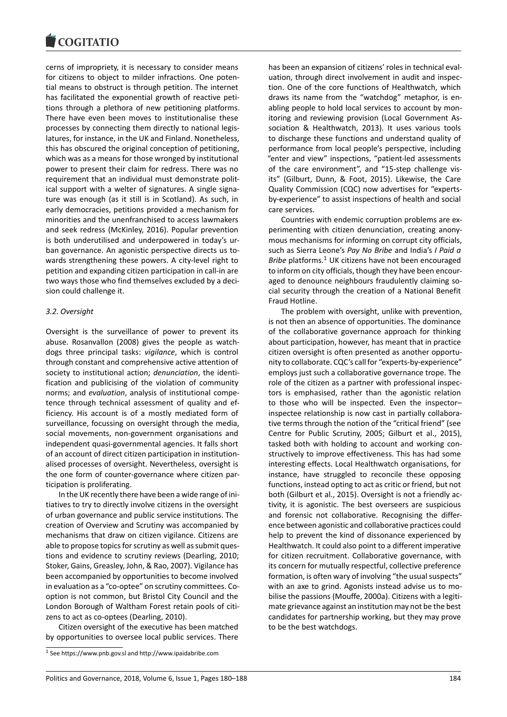#### COULTAIN

cerns of impropriety, it is necessary to consider means for citizens to object to milder infractions. One potential means to obstruct is through petition. The internet has facilitated the exponential growth of reactive petitions through a plethora of new petitioning platforms. There have even been moves to institutionalise these processes by connecting them directly to national legislatures, for instance, in the UK and Finland. Nonetheless, this has obscured the original conception of petitioning, which was as a means for those wronged by institutional power to present their claim for redress. There was no requirement that an individual must demonstrate political support with a welter of signatures. A single signature was enough (as it still is in Scotland). As such, in early democracies, petitions provided a mechanism for minorities and the unenfranchised to access lawmakers and seek redress (McKinley, 2016). Popular prevention is both underutilised and underpowered in today's urban governance. An agonistic perspective directs us towards strengthening these powers. A city-level right to petition and expanding citizen participation in call-in are two ways those who find themselves excluded by a decision could challenge it.

#### *3.2. Oversight*

Oversight is the surveillance of power to prevent its abuse. Rosanvallon (2008) gives the people as watchdogs three principal tasks: *vigilance*, which is control through constant and comprehensive active attention of society to institutional action; *denunciation*, the identification and publicising of the violation of community norms; and *evaluation*, analysis of institutional competence through technical assessment of quality and efficiency. His account is of a mostly mediated form of surveillance, focussing on oversight through the media, social movements, non-government organisations and independent quasi-governmental agencies. It falls short of an account of direct citizen participation in institutionalised processes of oversight. Nevertheless, oversight is the one form of counter-governance where citizen participation is proliferating.

In the UK recently there have been a wide range of initiatives to try to directly involve citizens in the oversight of urban governance and public service institutions. The creation of Overview and Scrutiny was accompanied by mechanisms that draw on citizen vigilance. Citizens are able to propose topics for scrutiny as well as submit questions and evidence to scrutiny reviews (Dearling, 2010; Stoker, Gains, Greasley, John, & Rao, 2007). Vigilance has been accompanied by opportunities to become involved in evaluation as a "co-optee" on scrutiny committees. Cooption is not common, but Bristol City Council and the London Borough of Waltham Forest retain pools of citizens to act as co-optees (Dearling, 2010).

Citizen oversight of the executive has been matched by opportunities to oversee local public services. There has been an expansion of citizens' roles in technical evaluation, through direct involvement in audit and inspection. One of the core functions of Healthwatch, which draws its name from the "watchdog" metaphor, is enabling people to hold local services to account by monitoring and reviewing provision (Local Government Association & Healthwatch, 2013). It uses various tools to discharge these functions and understand quality of performance from local people's perspective, including "enter and view" inspections, "patient-led assessments of the care environment", and "15-step challenge visits" (Gilburt, Dunn, & Foot, 2015). Likewise, the Care Quality Commission (CQC) now advertises for "expertsby-experience" to assist inspections of health and social care services.

Countries with endemic corruption problems are experimenting with citizen denunciation, creating anonymous mechanisms for informing on corrupt city officials, such as Sierra Leone's *Pay No Bribe* and India's *I Paid a Bribe* platforms.<sup>1</sup> UK citizens have not been encouraged to inform on city officials, though they have been encouraged to denounce neighbours fraudulently claiming social security through the creation of a National Benefit Fraud Hotline.

The problem with oversight, unlike with prevention, is not then an absence of opportunities. The dominance of the collaborative governance approach for thinking about participation, however, has meant that in practice citizen oversight is often presented as another opportunity to collaborate. CQC's call for "experts-by-experience" employs just such a collaborative governance trope. The role of the citizen as a partner with professional inspectors is emphasised, rather than the agonistic relation to those who will be inspected. Even the inspector– inspectee relationship is now cast in partially collaborative terms through the notion of the "critical friend" (see Centre for Public Scrutiny, 2005; Gilburt et al., 2015), tasked both with holding to account and working constructively to improve effectiveness. This has had some interesting effects. Local Healthwatch organisations, for instance, have struggled to reconcile these opposing functions, instead opting to act as critic or friend, but not both (Gilburt et al., 2015). Oversight is not a friendly activity, it is agonistic. The best overseers are suspicious and forensic not collaborative. Recognising the difference between agonistic and collaborative practices could help to prevent the kind of dissonance experienced by Healthwatch. It could also point to a different imperative for citizen recruitment. Collaborative governance, with its concern for mutually respectful, collective preference formation, is often wary of involving "the usual suspects" with an axe to grind. Agonists instead advise us to mobilise the passions (Mouffe, 2000a). Citizens with a legitimate grievance against an institution may not be the best candidates for partnership working, but they may prove to be the best watchdogs.

<sup>1</sup> See https://www.pnb.gov.sl and http://www.ipaidabribe.com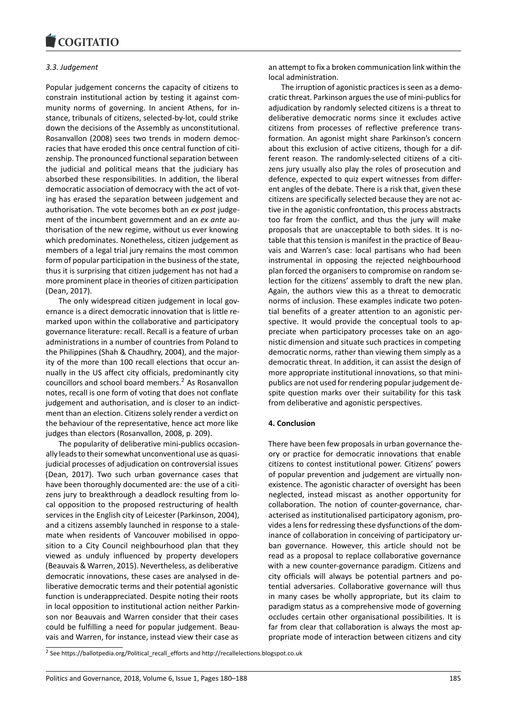#### COQUIATIO

#### *3.3. Judgement*

Popular judgement concerns the capacity of citizens to constrain institutional action by testing it against community norms of governing. In ancient Athens, for instance, tribunals of citizens, selected-by-lot, could strike down the decisions of the Assembly as unconstitutional. Rosanvallon (2008) sees two trends in modern democracies that have eroded this once central function of citizenship. The pronounced functional separation between the judicial and political means that the judiciary has absorbed these responsibilities. In addition, the liberal democratic association of democracy with the act of voting has erased the separation between judgement and authorisation. The vote becomes both an *ex post* judgement of the incumbent government and an *ex ante* authorisation of the new regime, without us ever knowing which predominates. Nonetheless, citizen judgement as members of a legal trial jury remains the most common form of popular participation in the business of the state, thus it is surprising that citizen judgement has not had a more prominent place in theories of citizen participation (Dean, 2017).

The only widespread citizen judgement in local governance is a direct democratic innovation that is little remarked upon within the collaborative and participatory governance literature: recall. Recall is a feature of urban administrations in a number of countries from Poland to the Philippines (Shah & Chaudhry, 2004), and the majority of the more than 100 recall elections that occur annually in the US affect city officials, predominantly city councillors and school board members.<sup>2</sup> As Rosanvallon notes, recall is one form of voting that does not conflate judgement and authorisation, and is closer to an indictment than an election. Citizens solely render a verdict on the behaviour of the representative, he[nc](#page-5-0)e act more like judges than electors (Rosanvallon, 2008, p. 209).

The popularity of deliberative mini-publics occasionally leads to their somewhat unconventional use as quasijudicial processes of adjudication on controversial issues (Dean, 2017). Two such urban governance cases that have been thoroughly documented are: the use of a citizens jury to breakthrough a deadlock resulting from local opposition to the proposed restructuring of health services in the English city of Leicester (Parkinson, 2004), and a citizens assembly launched in response to a stalemate when residents of Vancouver mobilised in opposition to a City Council neighbourhood plan that they viewed as unduly influenced by property developers (Beauvais & Warren, 2015). Nevertheless, as deliberative democratic innovations, these cases are analysed in deliberative democratic terms and their potential agonistic function is underappreciated. Despite noting their roots in local opposition to institutional action neither Parkinson nor Beauvais and Warren consider that their cases could be fulfilling a need for popular judgement. Beauvais and Warren, for instance, instead view their case as an attempt to fix a broken communication link within the local administration.

The irruption of agonistic practices is seen as a democratic threat. Parkinson argues the use of mini-publics for adjudication by randomly selected citizens is a threat to deliberative democratic norms since it excludes active citizens from processes of reflective preference transformation. An agonist might share Parkinson's concern about this exclusion of active citizens, though for a different reason. The randomly-selected citizens of a citizens jury usually also play the roles of prosecution and defence, expected to quiz expert witnesses from different angles of the debate. There is a risk that, given these citizens are specifically selected because they are not active in the agonistic confrontation, this process abstracts too far from the conflict, and thus the jury will make proposals that are unacceptable to both sides. It is notable that this tension is manifest in the practice of Beauvais and Warren's case: local partisans who had been instrumental in opposing the rejected neighbourhood plan forced the organisers to compromise on random selection for the citizens' assembly to draft the new plan. Again, the authors view this as a threat to democratic norms of inclusion. These examples indicate two potential benefits of a greater attention to an agonistic perspective. It would provide the conceptual tools to appreciate when participatory processes take on an agonistic dimension and situate such practices in competing democratic norms, rather than viewing them simply as a democratic threat. In addition, it can assist the design of more appropriate institutional innovations, so that minipublics are not used for rendering popular judgement despite question marks over their suitability for this task from deliberative and agonistic perspectives.

#### **4. Conclusion**

There have been few proposals in urban governance theory or practice for democratic innovations that enable citizens to contest institutional power. Citizens' powers of popular prevention and judgement are virtually nonexistence. The agonistic character of oversight has been neglected, instead miscast as another opportunity for collaboration. The notion of counter-governance, characterised as institutionalised participatory agonism, provides a lens for redressing these dysfunctions of the dominance of collaboration in conceiving of participatory urban governance. However, this article should not be read as a proposal to replace collaborative governance with a new counter-governance paradigm. Citizens and city officials will always be potential partners and potential adversaries. Collaborative governance will thus in many cases be wholly appropriate, but its claim to paradigm status as a comprehensive mode of governing occludes certain other organisational possibilities. It is far from clear that collaboration is always the most appropriate mode of interaction between citizens and city

<span id="page-5-0"></span><sup>&</sup>lt;sup>2</sup> See https://ballotpedia.org/Political\_recall\_efforts and http://recallelections.blogspot.co.uk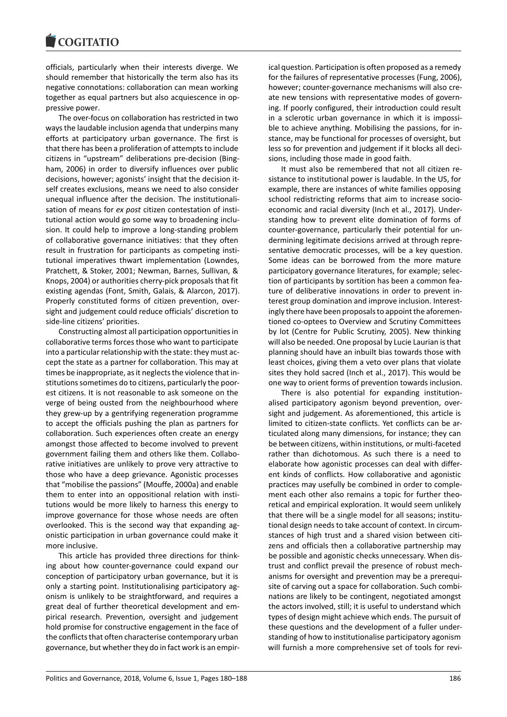officials, particularly when their interests diverge. We should remember that historically the term also has its negative connotations: collaboration can mean working together as equal partners but also acquiescence in oppressive power.

The over-focus on collaboration has restricted in two ways the laudable inclusion agenda that underpins many efforts at participatory urban governance. The first is that there has been a proliferation of attempts to include citizens in "upstream" deliberations pre-decision (Bingham, 2006) in order to diversify influences over public decisions, however; agonists' insight that the decision itself creates exclusions, means we need to also consider unequal influence after the decision. The institutionalisation of means for *ex post* citizen contestation of institutional action would go some way to broadening inclusion. It could help to improve a long-standing problem of collaborative governance initiatives: that they often result in frustration for participants as competing institutional imperatives thwart implementation (Lowndes, Pratchett, & Stoker, 2001; Newman, Barnes, Sullivan, & Knops, 2004) or authorities cherry-pick proposals that fit existing agendas (Font, Smith, Galais, & Alarcon, 2017). Properly constituted forms of citizen prevention, oversight and judgement could reduce officials' discretion to side-line citizens' priorities.

Constructing almost all participation opportunities in collaborative terms forces those who want to participate into a particular relationship with the state: they must accept the state as a partner for collaboration. This may at times be inappropriate, as it neglects the violence that institutions sometimes do to citizens, particularly the poorest citizens. It is not reasonable to ask someone on the verge of being ousted from the neighbourhood where they grew-up by a gentrifying regeneration programme to accept the officials pushing the plan as partners for collaboration. Such experiences often create an energy amongst those affected to become involved to prevent government failing them and others like them. Collaborative initiatives are unlikely to prove very attractive to those who have a deep grievance. Agonistic processes that "mobilise the passions" (Mouffe, 2000a) and enable them to enter into an oppositional relation with institutions would be more likely to harness this energy to improve governance for those whose needs are often overlooked. This is the second way that expanding agonistic participation in urban governance could make it more inclusive.

This article has provided three directions for thinking about how counter-governance could expand our conception of participatory urban governance, but it is only a starting point. Institutionalising participatory agonism is unlikely to be straightforward, and requires a great deal of further theoretical development and empirical research. Prevention, oversight and judgement hold promise for constructive engagement in the face of the conflicts that often characterise contemporary urban governance, but whether they do in fact work is an empirical question. Participation is often proposed as a remedy for the failures of representative processes (Fung, 2006), however; counter-governance mechanisms will also create new tensions with representative modes of governing. If poorly configured, their introduction could result in a sclerotic urban governance in which it is impossible to achieve anything. Mobilising the passions, for instance, may be functional for processes of oversight, but less so for prevention and judgement if it blocks all decisions, including those made in good faith.

It must also be remembered that not all citizen resistance to institutional power is laudable. In the US, for example, there are instances of white families opposing school redistricting reforms that aim to increase socioeconomic and racial diversity (Inch et al., 2017). Understanding how to prevent elite domination of forms of counter-governance, particularly their potential for undermining legitimate decisions arrived at through representative democratic processes, will be a key question. Some ideas can be borrowed from the more mature participatory governance literatures, for example; selection of participants by sortition has been a common feature of deliberative innovations in order to prevent interest group domination and improve inclusion. Interestingly there have been proposals to appoint the aforementioned co-optees to Overview and Scrutiny Committees by lot (Centre for Public Scrutiny, 2005). New thinking will also be needed. One proposal by Lucie Laurian is that planning should have an inbuilt bias towards those with least choices, giving them a veto over plans that violate sites they hold sacred (Inch et al., 2017). This would be one way to orient forms of prevention towards inclusion.

There is also potential for expanding institutionalised participatory agonism beyond prevention, oversight and judgement. As aforementioned, this article is limited to citizen-state conflicts. Yet conflicts can be articulated along many dimensions, for instance; they can be between citizens, within institutions, or multi-faceted rather than dichotomous. As such there is a need to elaborate how agonistic processes can deal with different kinds of conflicts. How collaborative and agonistic practices may usefully be combined in order to complement each other also remains a topic for further theoretical and empirical exploration. It would seem unlikely that there will be a single model for all seasons; institutional design needs to take account of context. In circumstances of high trust and a shared vision between citizens and officials then a collaborative partnership may be possible and agonistic checks unnecessary. When distrust and conflict prevail the presence of robust mechanisms for oversight and prevention may be a prerequisite of carving out a space for collaboration. Such combinations are likely to be contingent, negotiated amongst the actors involved, still; it is useful to understand which types of design might achieve which ends. The pursuit of these questions and the development of a fuller understanding of how to institutionalise participatory agonism will furnish a more comprehensive set of tools for revi-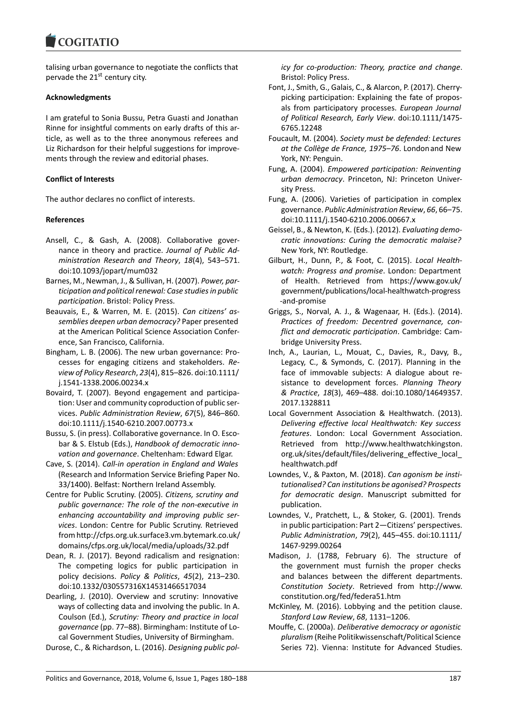#### COMITATIO

talising urban governance to negotiate the conflicts that pervade the 21<sup>st</sup> century city.

# **Acknowledgments**

I am grateful to Sonia Bussu, Petra Guasti and Jonathan Rinne for insightful comments on early drafts of this article, as well as to the three anonymous referees and Liz Richardson for their helpful suggestions for improvements through the review and editorial phases.

# **Conflict of Interests**

The author declares no conflict of interests.

# **References**

- Ansell, C., & Gash, A. (2008). Collaborative governance in theory and practice. *Journal of Public Administration Research and Theory*, *18*(4), 543–571. doi:10.1093/jopart/mum032
- Barnes, M., Newman, J., & Sullivan, H. (2007). *Power, participation and political renewal: Case studies in public participation*. Bristol: Policy Press.
- Beauvais, E., & Warren, M. E. (2015). *Can citizens' assemblies deepen urban democracy?* Paper presented at the American Political Science Association Conference, San Francisco, California.
- Bingham, L. B. (2006). The new urban governance: Processes for engaging citizens and stakeholders. *Review of Policy Research*, *23*(4), 815–826. doi:10.1111/ j.1541-1338.2006.00234.x
- Bovaird, T. (2007). Beyond engagement and participation: User and community coproduction of public services. *Public Administration Review*, *67*(5), 846–860. doi:10.1111/j.1540-6210.2007.00773.x
- Bussu, S. (in press). Collaborative governance. In O. Escobar & S. Elstub (Eds.), *Handbook of democratic innovation and governance*. Cheltenham: Edward Elgar.
- Cave, S. (2014). *Call-in operation in England and Wales* (Research and Information Service Briefing Paper No. 33/1400). Belfast: Northern Ireland Assembly.
- Centre for Public Scrutiny. (2005). *Citizens, scrutiny and public governance: The role of the non-executive in enhancing accountability and improving public services*. London: Centre for Public Scrutiny. Retrieved from http://cfps.org.uk.surface3.vm.bytemark.co.uk/ domains/cfps.org.uk/local/media/uploads/32.pdf
- Dean, R. J. (2017). Beyond radicalism and resignation: The competing logics for public participation in policy decisions. *Policy & Politics*, *45*(2), 213–230. doi:10.1332/030557316X14531466517034
- Dearling, J. (2010). Overview and scrutiny: Innovative ways of collecting data and involving the public. In A. Coulson (Ed.), *Scrutiny: Theory and practice in local governance* (pp. 77–88). Birmingham: Institute of Local Government Studies, University of Birmingham.

Durose, C., & Richardson, L. (2016). *Designing public pol-*

*icy for co-production: Theory, practice and change*. Bristol: Policy Press.

- Font, J., Smith, G., Galais, C., & Alarcon, P. (2017). Cherrypicking participation: Explaining the fate of proposals from participatory processes. *European Journal of Political Research, Early View*. doi:10.1111/1475- 6765.12248
- Foucault, M. (2004). *Society must be defended: Lectures* at the Collège de France, 1975–76. London and New York, NY: Penguin.
- Fung, A. (2004). *Empowered participation: Reinventing urban democracy*. Princeton, NJ: Princeton University Press.
- Fung, A. (2006). Varieties of participation in complex governance. *Public Administration Review*, *66*, 66–75. doi:10.1111/j.1540-6210.2006.00667.x
- Geissel, B., & Newton, K. (Eds.). (2012). *Evaluating democratic innovations: Curing the democratic malaise?* New York, NY: Routledge.
- Gilburt, H., Dunn, P., & Foot, C. (2015). *Local Healthwatch: Progress and promise*. London: Department of Health. Retrieved from https://www.gov.uk/ government/publications/local-healthwatch-progress -and-promise
- Griggs, S., Norval, A. J., & Wagenaar, H. (Eds.). (2014). *Practices of freedom: Decentred governance, conflict and democratic participation*. Cambridge: Cambridge University Press.
- Inch, A., Laurian, L., Mouat, C., Davies, R., Davy, B., Legacy, C., & Symonds, C. (2017). Planning in the face of immovable subjects: A dialogue about resistance to development forces. *Planning Theory & Practice*, *18*(3), 469–488. doi:10.1080/14649357. 2017.1328811
- Local Government Association & Healthwatch. (2013). *Delivering effective local Healthwatch: Key success features*. London: Local Government Association. Retrieved from http://www.healthwatchkingston. org.uk/sites/default/files/delivering effective local healthwatch.pdf
- Lowndes, V., & Paxton, M. (2018). *Can agonism be institutionalised? Can institutions be agonised? Prospects for democratic design*. Manuscript submitted for publication.
- Lowndes, V., Pratchett, L., & Stoker, G. (2001). Trends in public participation: Part 2—Citizens' perspectives. *Public Administration*, *79*(2), 445–455. doi:10.1111/ 1467-9299.00264
- Madison, J. (1788, February 6). The structure of the government must furnish the proper checks and balances between the different departments. *Constitution Society*. Retrieved from http://www. constitution.org/fed/federa51.htm
- McKinley, M. (2016). Lobbying and the petition clause. *Stanford Law Review*, *68*, 1131–1206.
- Mouffe, C. (2000a). *Deliberative democracy or agonistic pluralism* (Reihe Politikwissenschaft/Political Science Series 72). Vienna: Institute for Advanced Studies.